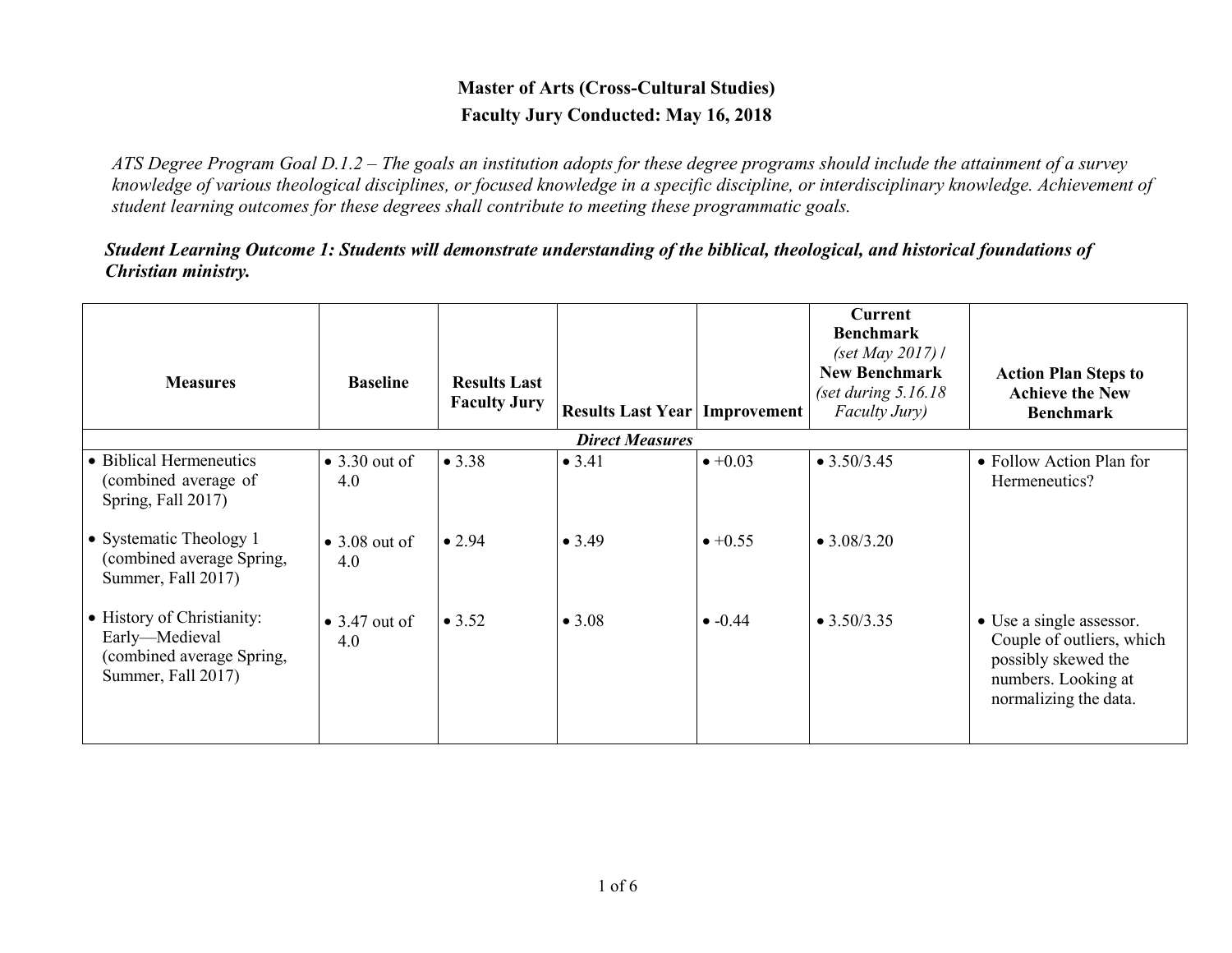## **Master of Arts (Cross-Cultural Studies) Faculty Jury Conducted: May 16, 2018**

*ATS Degree Program Goal D.1.2 – The goals an institution adopts for these degree programs should include the attainment of a survey knowledge of various theological disciplines, or focused knowledge in a specific discipline, or interdisciplinary knowledge. Achievement of student learning outcomes for these degrees shall contribute to meeting these programmatic goals.*

*Student Learning Outcome 1: Students will demonstrate understanding of the biblical, theological, and historical foundations of Christian ministry.*

| <b>Measures</b>                                                                                 | <b>Baseline</b>              | <b>Results Last</b><br><b>Faculty Jury</b> | <b>Results Last Year   Improvement</b> |                 | Current<br><b>Benchmark</b><br>(set May 2017) /<br><b>New Benchmark</b><br>(set during $5.16.18$<br>Faculty Jury) | <b>Action Plan Steps to</b><br><b>Achieve the New</b><br><b>Benchmark</b>                                                    |
|-------------------------------------------------------------------------------------------------|------------------------------|--------------------------------------------|----------------------------------------|-----------------|-------------------------------------------------------------------------------------------------------------------|------------------------------------------------------------------------------------------------------------------------------|
|                                                                                                 |                              |                                            | <b>Direct Measures</b>                 |                 |                                                                                                                   |                                                                                                                              |
| • Biblical Hermeneutics<br>(combined average of<br>Spring, Fall 2017)                           | $\bullet$ 3.30 out of<br>4.0 | • 3.38                                     | • 3.41                                 | $\bullet +0.03$ | $\bullet$ 3.50/3.45                                                                                               | • Follow Action Plan for<br>Hermeneutics?                                                                                    |
| • Systematic Theology 1<br>(combined average Spring,<br>Summer, Fall 2017)                      | $\bullet$ 3.08 out of<br>4.0 | $\bullet$ 2.94                             | • 3.49                                 | $\bullet +0.55$ | $\bullet$ 3.08/3.20                                                                                               |                                                                                                                              |
| • History of Christianity:<br>Early-Medieval<br>(combined average Spring,<br>Summer, Fall 2017) | $\bullet$ 3.47 out of<br>4.0 | $\bullet$ 3.52                             | • 3.08                                 | $\bullet$ -0.44 | $\bullet$ 3.50/3.35                                                                                               | • Use a single assessor.<br>Couple of outliers, which<br>possibly skewed the<br>numbers. Looking at<br>normalizing the data. |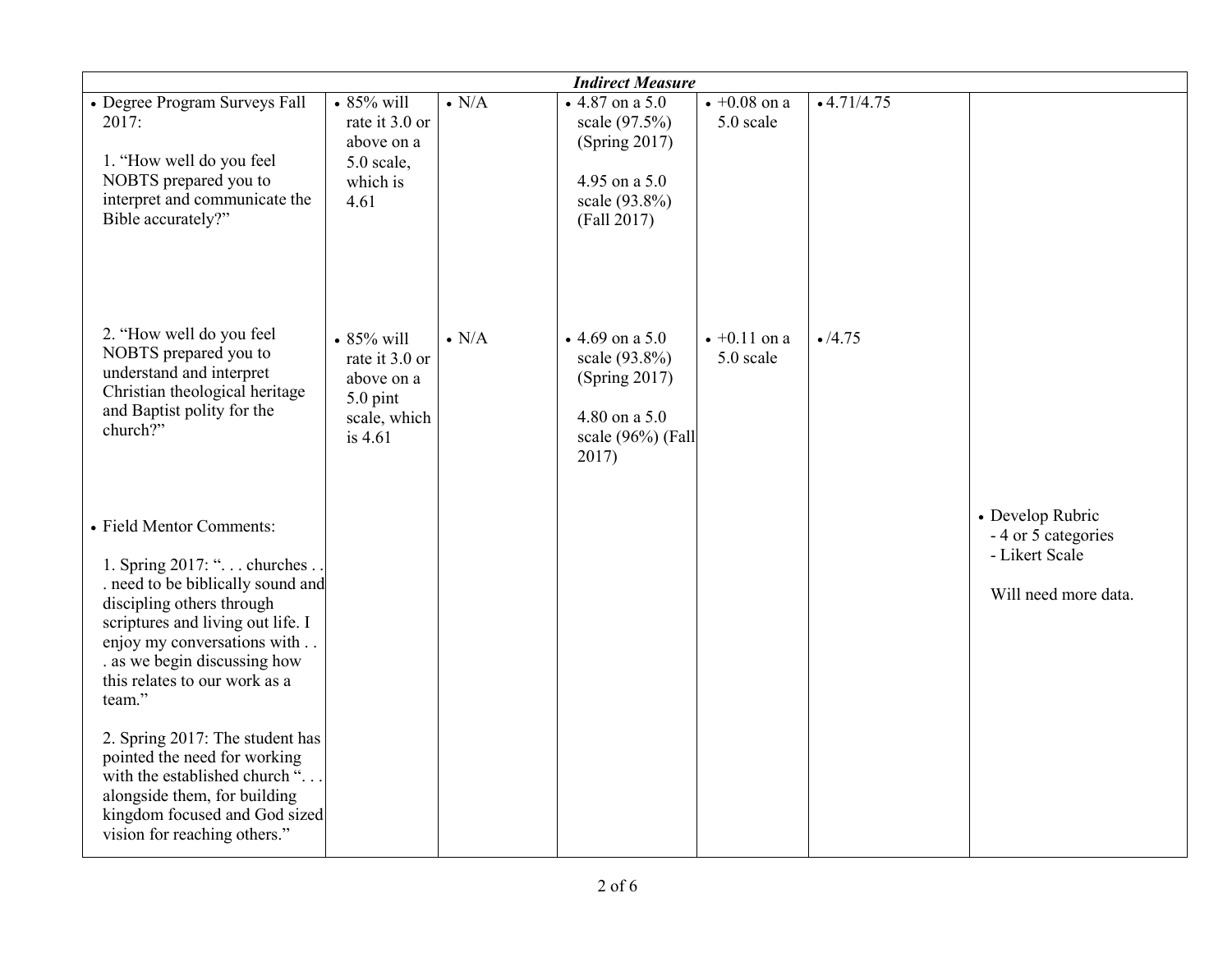|                                                                                                                                                                                                                                                                          |                                                                                         |               | <b>Indirect Measure</b>                                                                                    |                                   |               |                                                                                   |
|--------------------------------------------------------------------------------------------------------------------------------------------------------------------------------------------------------------------------------------------------------------------------|-----------------------------------------------------------------------------------------|---------------|------------------------------------------------------------------------------------------------------------|-----------------------------------|---------------|-----------------------------------------------------------------------------------|
| • Degree Program Surveys Fall<br>2017:<br>1. "How well do you feel<br>NOBTS prepared you to<br>interpret and communicate the<br>Bible accurately?"                                                                                                                       | $\cdot$ 85% will<br>rate it 3.0 or<br>above on a<br>5.0 scale,<br>which is<br>4.61      | $\bullet$ N/A | $\bullet$ 4.87 on a 5.0<br>scale (97.5%)<br>(Spring 2017)<br>4.95 on a 5.0<br>scale (93.8%)<br>(Fall 2017) | $\sqrt{+0.08}$ on a<br>5.0 scale  | $-4.71/4.75$  |                                                                                   |
| 2. "How well do you feel<br>NOBTS prepared you to<br>understand and interpret<br>Christian theological heritage<br>and Baptist polity for the<br>church?"                                                                                                                | $\cdot$ 85% will<br>rate it 3.0 or<br>above on a<br>5.0 pint<br>scale, which<br>is 4.61 | $\bullet$ N/A | • 4.69 on a 5.0<br>scale (93.8%)<br>(Spring 2017)<br>4.80 on a 5.0<br>scale (96%) (Fall<br>2017)           | $\bullet +0.11$ on a<br>5.0 scale | $\cdot$ /4.75 |                                                                                   |
| • Field Mentor Comments:<br>1. Spring 2017: ". churches<br>. need to be biblically sound and<br>discipling others through<br>scriptures and living out life. I<br>enjoy my conversations with<br>. as we begin discussing how<br>this relates to our work as a<br>team." |                                                                                         |               |                                                                                                            |                                   |               | • Develop Rubric<br>- 4 or 5 categories<br>- Likert Scale<br>Will need more data. |
| 2. Spring 2017: The student has<br>pointed the need for working<br>with the established church ".<br>alongside them, for building<br>kingdom focused and God sized<br>vision for reaching others."                                                                       |                                                                                         |               |                                                                                                            |                                   |               |                                                                                   |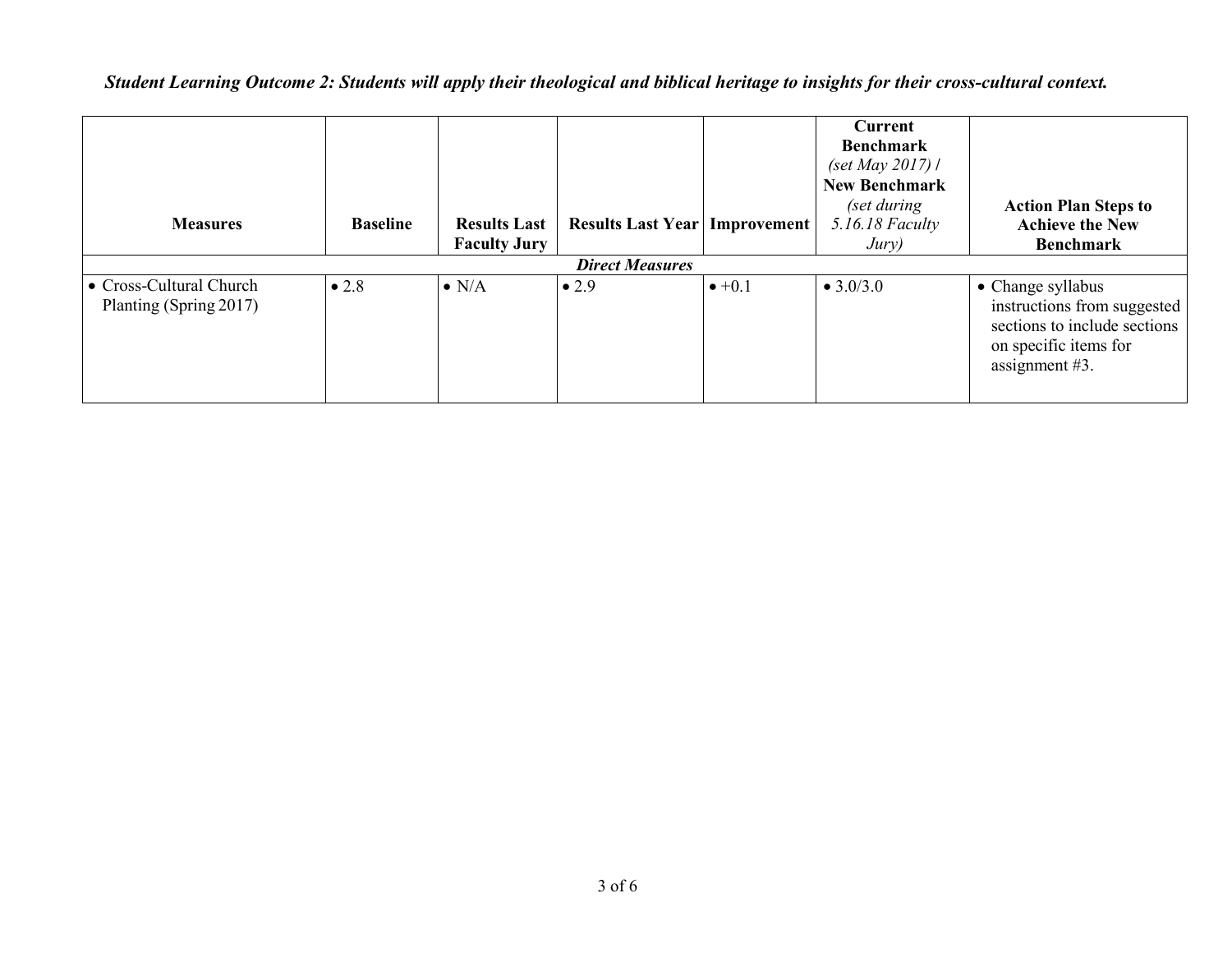| <b>Measures</b>                                   | <b>Baseline</b>        | <b>Results Last</b><br><b>Faculty Jury</b> | <b>Results Last Year   Improvement  </b> |                | Current<br><b>Benchmark</b><br>(set May 2017) /<br><b>New Benchmark</b><br>(set during<br>5.16.18 Faculty<br>Jury) | <b>Action Plan Steps to</b><br><b>Achieve the New</b><br><b>Benchmark</b>                                                      |  |  |
|---------------------------------------------------|------------------------|--------------------------------------------|------------------------------------------|----------------|--------------------------------------------------------------------------------------------------------------------|--------------------------------------------------------------------------------------------------------------------------------|--|--|
|                                                   | <b>Direct Measures</b> |                                            |                                          |                |                                                                                                                    |                                                                                                                                |  |  |
| • Cross-Cultural Church<br>Planting (Spring 2017) | $\bullet$ 2.8          | $\bullet$ N/A                              | $\bullet$ 2.9                            | $\bullet +0.1$ | $\bullet$ 3.0/3.0                                                                                                  | • Change syllabus<br>instructions from suggested<br>sections to include sections<br>on specific items for<br>assignment $#3$ . |  |  |

## *Student Learning Outcome 2: Students will apply their theological and biblical heritage to insights for their cross-cultural context.*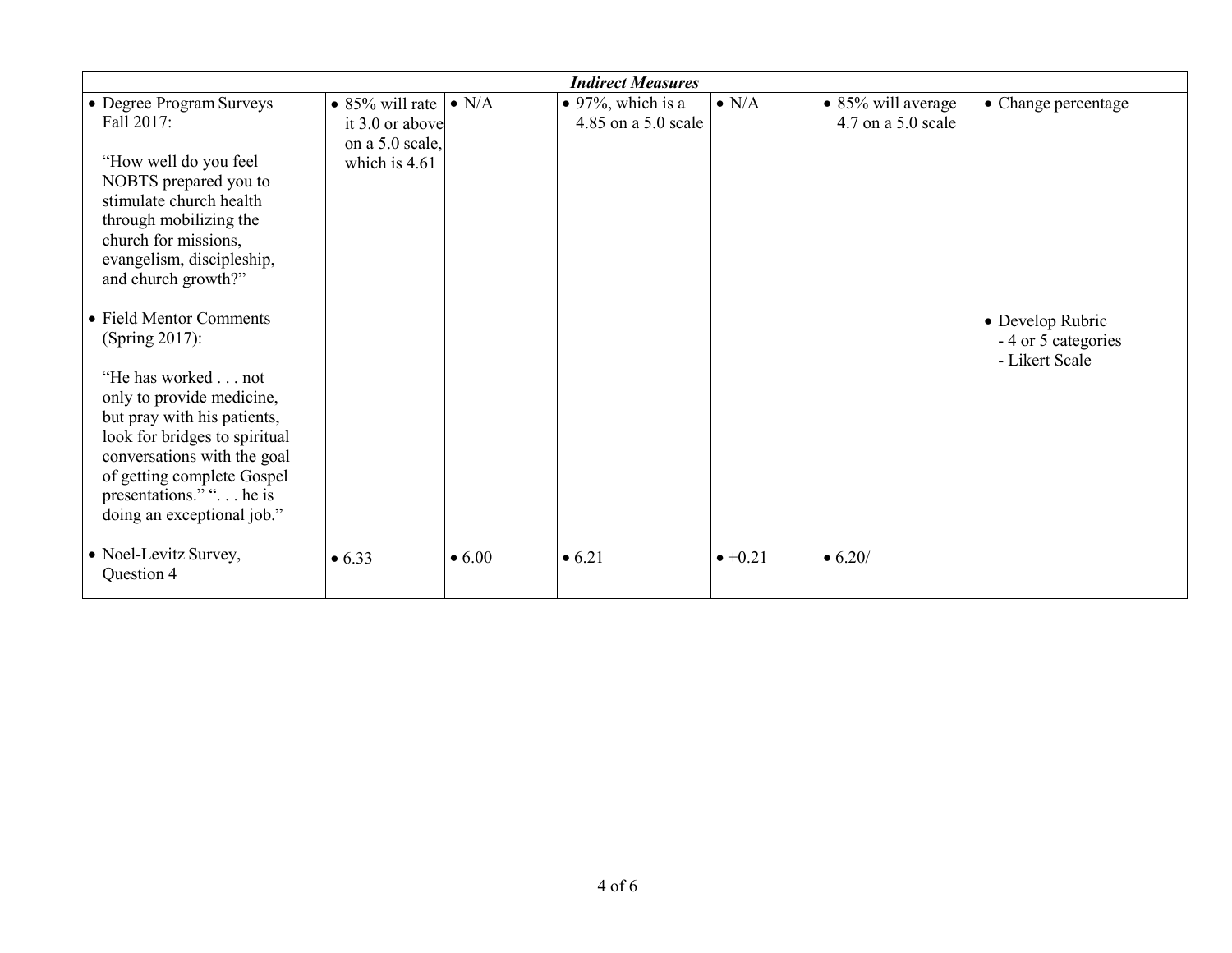|                                                                                                                                                                                                                                                                                     |                                                |                | <b>Indirect Measures</b>                         |                 |                                              |                                                           |
|-------------------------------------------------------------------------------------------------------------------------------------------------------------------------------------------------------------------------------------------------------------------------------------|------------------------------------------------|----------------|--------------------------------------------------|-----------------|----------------------------------------------|-----------------------------------------------------------|
| • Degree Program Surveys<br>Fall 2017:                                                                                                                                                                                                                                              | • 85% will rate $\cdot$ N/A<br>it 3.0 or above |                | $\bullet$ 97%, which is a<br>4.85 on a 5.0 scale | $\bullet$ N/A   | • 85% will average<br>$4.7$ on a $5.0$ scale | • Change percentage                                       |
| "How well do you feel<br>NOBTS prepared you to<br>stimulate church health<br>through mobilizing the<br>church for missions,<br>evangelism, discipleship,<br>and church growth?"                                                                                                     | on a 5.0 scale,<br>which is $4.61$             |                |                                                  |                 |                                              |                                                           |
| • Field Mentor Comments<br>(Spring 2017):<br>"He has worked not<br>only to provide medicine,<br>but pray with his patients,<br>look for bridges to spiritual<br>conversations with the goal<br>of getting complete Gospel<br>presentations." ". he is<br>doing an exceptional job." |                                                |                |                                                  |                 |                                              | • Develop Rubric<br>- 4 or 5 categories<br>- Likert Scale |
| • Noel-Levitz Survey,<br>Question 4                                                                                                                                                                                                                                                 | • 6.33                                         | $\bullet$ 6.00 | • 6.21                                           | $\bullet +0.21$ | $\bullet$ 6.20/                              |                                                           |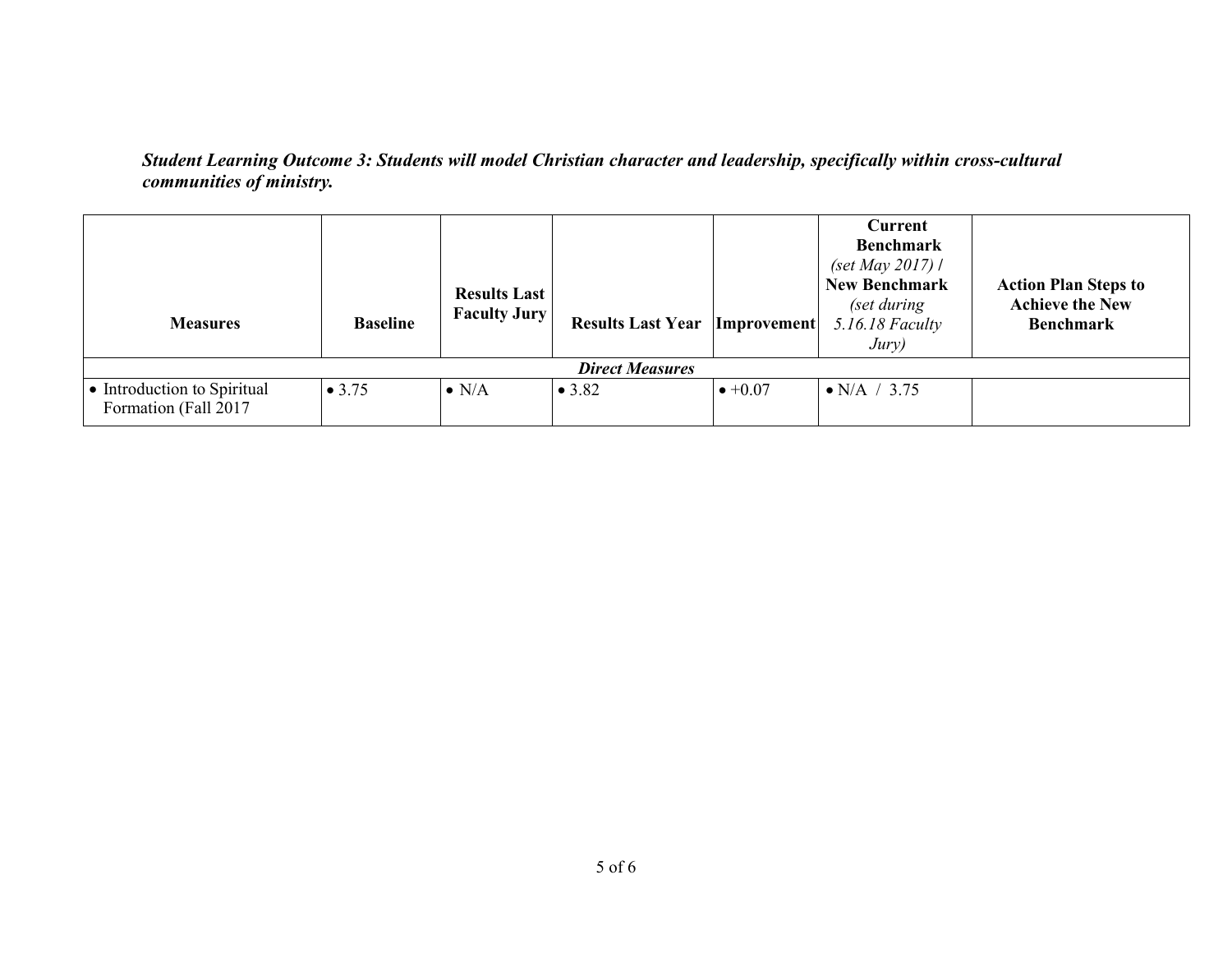## *Student Learning Outcome 3: Students will model Christian character and leadership, specifically within cross-cultural communities of ministry.*

| <b>Measures</b>                                      | <b>Baseline</b> | <b>Results Last</b><br><b>Faculty Jury</b> | <b>Results Last Year   Improvement </b> |                 | Current<br><b>Benchmark</b><br>(set May 2017) /<br><b>New Benchmark</b><br>(set during<br>$5.16.18$ Faculty<br>Jury) | <b>Action Plan Steps to</b><br><b>Achieve the New</b><br><b>Benchmark</b> |  |
|------------------------------------------------------|-----------------|--------------------------------------------|-----------------------------------------|-----------------|----------------------------------------------------------------------------------------------------------------------|---------------------------------------------------------------------------|--|
| <b>Direct Measures</b>                               |                 |                                            |                                         |                 |                                                                                                                      |                                                                           |  |
| • Introduction to Spiritual<br>Formation (Fall 2017) | $\bullet$ 3.75  | $\bullet$ N/A                              | • 3.82                                  | $\bullet +0.07$ | $\bullet$ N/A / 3.75                                                                                                 |                                                                           |  |